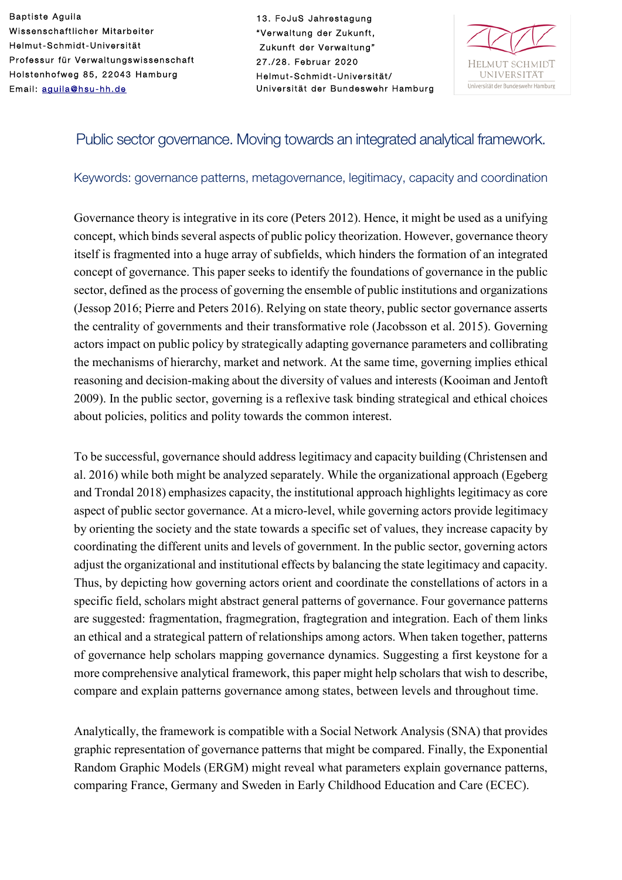Baptiste Aguila Wissenschaftlicher Mitarbeiter Helmut-Schmidt-Universität Professur für Verwaltungswissenschaft Holstenhofweg 85, 22043 Hamburg Email: [aguila@hsu](mailto:aguila@hsu-hh.de)-hh.de

13. FoJuS Jahrestagung "Verwaltung der Zukunft, Zukunft der Verwaltung" 27./28. Februar 2020 Helmut-Schmidt-Universität/ Universität der Bundeswehr Hamburg



# Public sector governance. Moving towards an integrated analytical framework.

#### Keywords: governance patterns, metagovernance, legitimacy, capacity and coordination

Governance theory is integrative in its core (Peters 2012). Hence, it might be used as a unifying concept, which binds several aspects of public policy theorization. However, governance theory itself is fragmented into a huge array of subfields, which hinders the formation of an integrated concept of governance. This paper seeks to identify the foundations of governance in the public sector, defined as the process of governing the ensemble of public institutions and organizations (Jessop 2016; Pierre and Peters 2016). Relying on state theory, public sector governance asserts the centrality of governments and their transformative role (Jacobsson et al. 2015). Governing actors impact on public policy by strategically adapting governance parameters and collibrating the mechanisms of hierarchy, market and network. At the same time, governing implies ethical reasoning and decision-making about the diversity of values and interests (Kooiman and Jentoft 2009). In the public sector, governing is a reflexive task binding strategical and ethical choices about policies, politics and polity towards the common interest.

To be successful, governance should address legitimacy and capacity building (Christensen and al. 2016) while both might be analyzed separately. While the organizational approach (Egeberg and Trondal 2018) emphasizes capacity, the institutional approach highlights legitimacy as core aspect of public sector governance. At a micro-level, while governing actors provide legitimacy by orienting the society and the state towards a specific set of values, they increase capacity by coordinating the different units and levels of government. In the public sector, governing actors adjust the organizational and institutional effects by balancing the state legitimacy and capacity. Thus, by depicting how governing actors orient and coordinate the constellations of actors in a specific field, scholars might abstract general patterns of governance. Four governance patterns are suggested: fragmentation, fragmegration, fragtegration and integration. Each of them links an ethical and a strategical pattern of relationships among actors. When taken together, patterns of governance help scholars mapping governance dynamics. Suggesting a first keystone for a more comprehensive analytical framework, this paper might help scholars that wish to describe, compare and explain patterns governance among states, between levels and throughout time.

Analytically, the framework is compatible with a Social Network Analysis (SNA) that provides graphic representation of governance patterns that might be compared. Finally, the Exponential Random Graphic Models (ERGM) might reveal what parameters explain governance patterns, comparing France, Germany and Sweden in Early Childhood Education and Care (ECEC).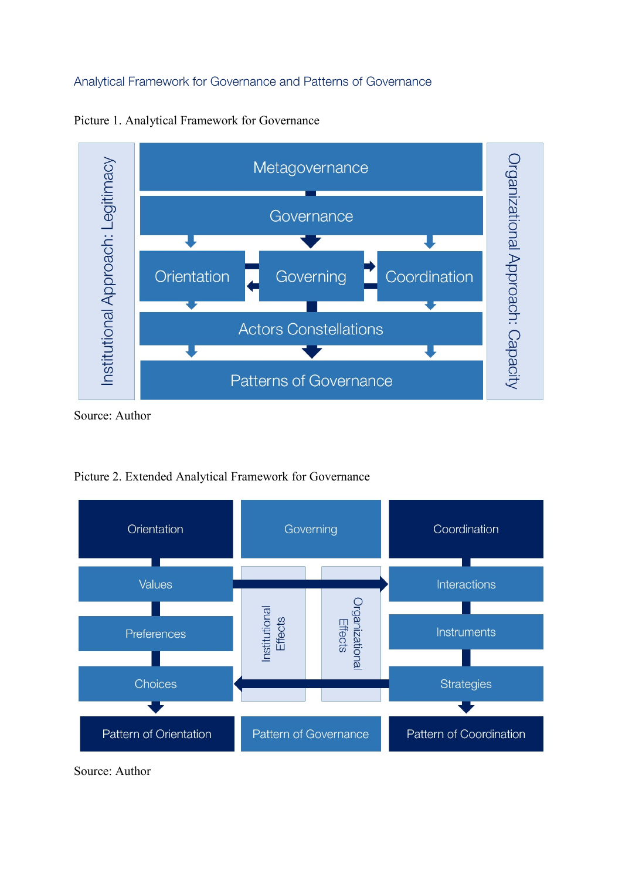## Analytical Framework for Governance and Patterns of Governance



Picture 1. Analytical Framework for Governance

Source: Author



Picture 2. Extended Analytical Framework for Governance

Source: Author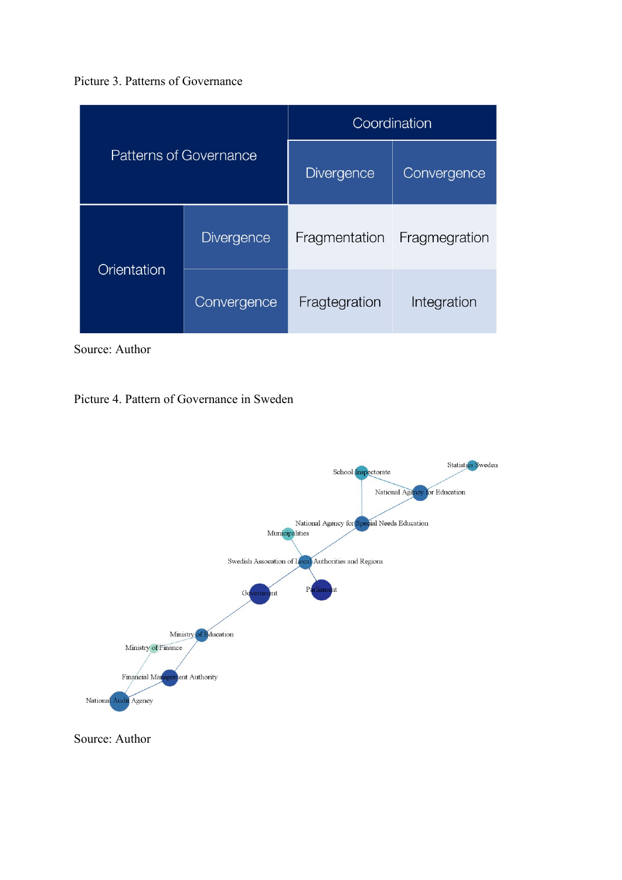![](_page_2_Figure_0.jpeg)

| <b>Patterns of Governance</b> |                   | Coordination      |               |
|-------------------------------|-------------------|-------------------|---------------|
|                               |                   | <b>Divergence</b> | Convergence   |
| Orientation                   | <b>Divergence</b> | Fragmentation     | Fragmegration |
|                               | Convergence       | Fragtegration     | Integration   |

Source: Author

## Picture 4. Pattern of Governance in Sweden

![](_page_2_Figure_4.jpeg)

Source: Author